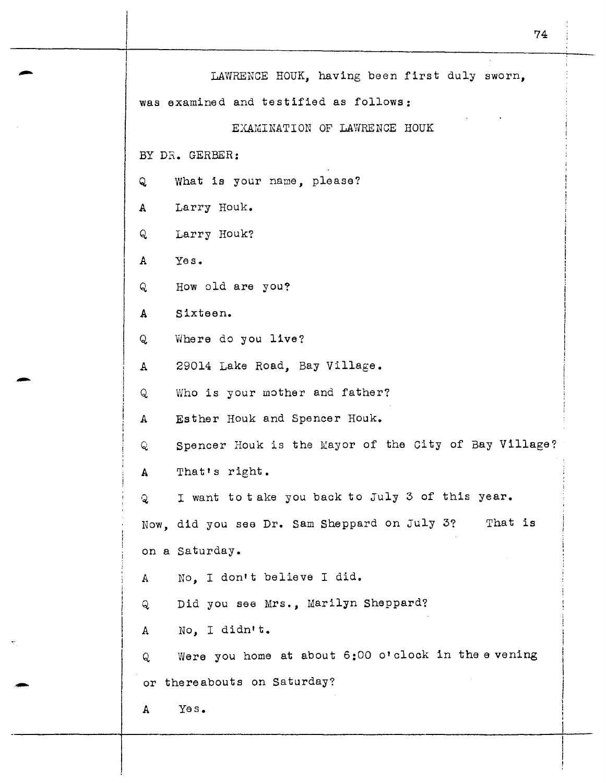|                | LAWRENCE HOUK, having been first duly sworn,<br>was examined and testified as follows: |  |  |  |  |  |  |  |
|----------------|----------------------------------------------------------------------------------------|--|--|--|--|--|--|--|
|                |                                                                                        |  |  |  |  |  |  |  |
|                | EXAMINATION OF LAWRENCE HOUK                                                           |  |  |  |  |  |  |  |
| BY DR. GERBER: |                                                                                        |  |  |  |  |  |  |  |
| Q              | What is your name, please?                                                             |  |  |  |  |  |  |  |
| $\mathbf{A}$   | Larry Houk.                                                                            |  |  |  |  |  |  |  |
| Q              | Larry Houk?                                                                            |  |  |  |  |  |  |  |
| $\mathbf{A}$   | Yes.                                                                                   |  |  |  |  |  |  |  |
| Q              | How old are you?                                                                       |  |  |  |  |  |  |  |
| $\mathbf{A}$   | Sixteen.                                                                               |  |  |  |  |  |  |  |
| Q              | Where do you live?                                                                     |  |  |  |  |  |  |  |
| А              | 29014 Lake Road, Bay Village.                                                          |  |  |  |  |  |  |  |
| Q              | Who is your mother and father?                                                         |  |  |  |  |  |  |  |
| $\mathbf{A}$   | Esther Houk and Spencer Houk.                                                          |  |  |  |  |  |  |  |
| Q              | Spencer Houk is the Mayor of the City of Bay Village?                                  |  |  |  |  |  |  |  |
| A              | That's right.                                                                          |  |  |  |  |  |  |  |
| Q              | I want to take you back to July 3 of this year.                                        |  |  |  |  |  |  |  |
|                | That is<br>Now, did you see Dr. Sam Sheppard on July 3?                                |  |  |  |  |  |  |  |
|                | on a Saturday.                                                                         |  |  |  |  |  |  |  |
| $\mathbb A$    | No. I don't believe I did.                                                             |  |  |  |  |  |  |  |
| Q              | Did you see Mrs., Marilyn Sheppard?                                                    |  |  |  |  |  |  |  |
| A              | No, I didn't.                                                                          |  |  |  |  |  |  |  |
| Q              | Were you home at about 6:00 o'clock in the evening                                     |  |  |  |  |  |  |  |
| or             | thereabouts on Saturday?                                                               |  |  |  |  |  |  |  |
| A              | Yes.                                                                                   |  |  |  |  |  |  |  |

-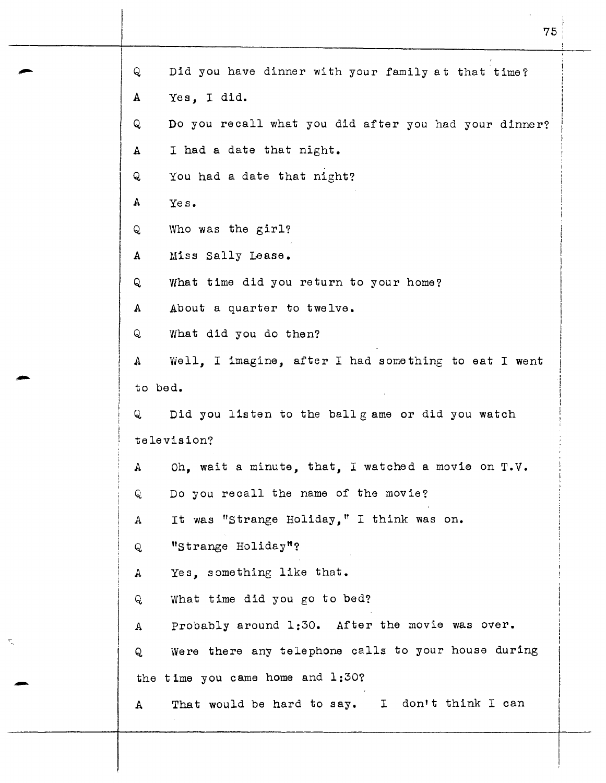Q Did you have dinner with your family at that time? A Yes, I did. Q Do you recall what you did after you had your dinner? A I had a date that night. Q You had a date that night? A Yes. Q Who was the girl? A Miss Sally Lease. Q What time did you return to your home? A About a quarter to twelve. Q What did you do then? A Well, I imagine, after I had something to eat I went A Well defined to bed. Q Did you listen to the ballgame or did you watch te le vis ion? A Oh, wait a minute, that, I watched a movie on T.V. Q Do you recall the name of the movie? A It was "Strange Holiday," I think was on. Q "strange Holiday"? A Yes, something like that. Q What time did you go to bed? A Probably around 1:30. After the movie was over. Q Were there any telephone calls to your house during the time you came home and  $1:30$ ?<br>A That would be hard to say. That would be hard to say. I don't think I can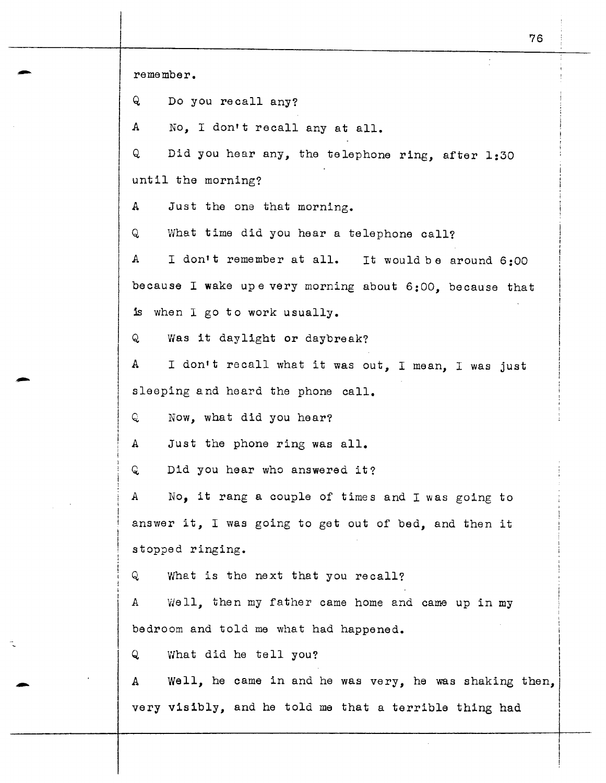remember.

Q Do you recall any?

<sup>A</sup>*No,* I don't recall any at all.

Q Did you hear any, the telephone ring, after 1:30 until the morning?

A Just the one that morning.

Q What time did you hear a telephone call?

A I don't remember at all. It would be around 6 :00 because I wake upe very morning about 6:00, because that is when I go to work usually.

Q Was it daylight or daybreak?

A I don•t recall what it was out, I mean, I was just sleeping and heard the phone call.

Q Now, what did you bear?

A Just the phone ring was all.

Q Did you hear who answered it?

A No, it rang a couple of times and I was going to answer it, I was going to get out of bed, and then it stopped ringing.

Q What is the next that you recall?

A Well, then my father came home and came up in my bedroom and told me what had happened.

Q What did he tell you?

A Well, he came in and he was very, he was shaking then. very visibly, and he told me that a terrible thing had

I I

I

I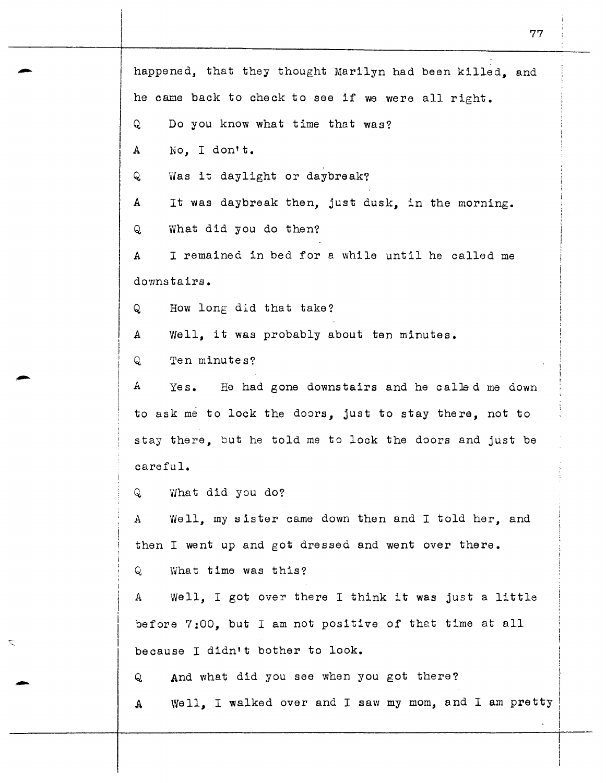- 77 happened, that they thought Marilyn had been killed, and he came back to check to see if we were all right. Q Do you know what time that was? A No, I don't. Q Was it daylight or daybreak? A It was daybreak then, just dusk, in the morning. Q What did you do then? A I remained in bed for a while until he called me downstairs. Q How long did that take? A Well, it was probably about ten minutes. Q Ten minutes? *<sup>A</sup>*Yes. He had gone downstairs and he calJed me down to ask me to lock the doors, just to stay there, not to stay there, but he told me to lock the doors and just be careful. Q What did you do? *<sup>A</sup>*Well, my sister came down then and I told her, and then I went up and got dressed and went over there. Q What time was this? *<sup>A</sup>*Well, I got over there I think it was just a little before 7:00, but I am not positive of that time at all because I didn't bother to look. Q And what did you see when you got there? A Well, I walked over and I saw my mom, and I am pretty

I I ' j 1 I

i !<br>!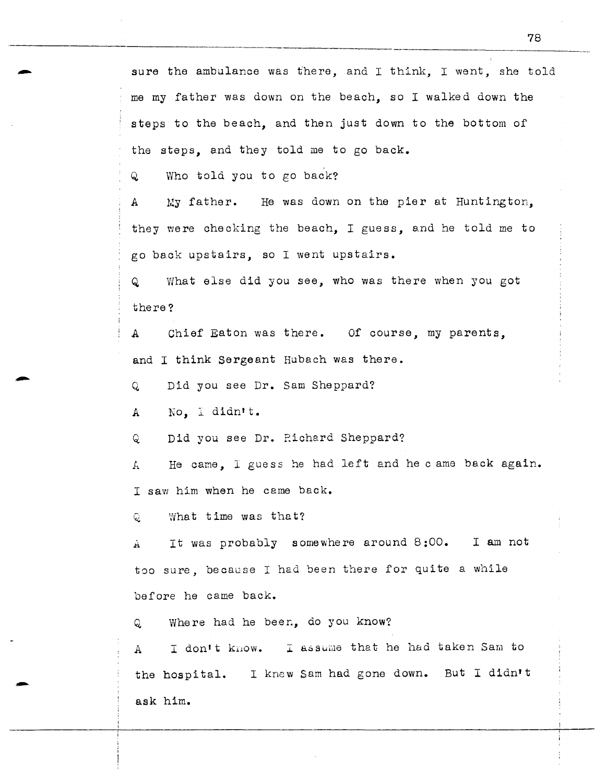sure the ambulance was there, and I think, I went, she told me my father was down on the beach, so I walked down the steps to the beach, and then just down to the bottom of the steps, and they told me to go back.

Q Who told you to go back?

A My father. He was down on the pier at Huntington, they were checking the beach, I guess, and he told me to go back upstairs, so I went upstairs.

Q What else did you see, who was there when you got there?

A Chief Eaton was there. Of course, my parents, and I think Sergeant Hubach was there.

Q Did you see Dr. Sam Sheppard?

A *No,* l didn't.

-

Q Did you see Dr. Richard Sheppard?

*J...* He came, I guess he had left and he c ame back again. I saw him when he came back.

Q What time was that?

It was probably somewhere around 8:00. I am not À. too sure, because I had been there for quite a while before he came back.

Q Where had he been, do you know?

A I don't know. I assume that he had taken Sam to the hospital. I knew Sam had gone down. But I didn't ask him.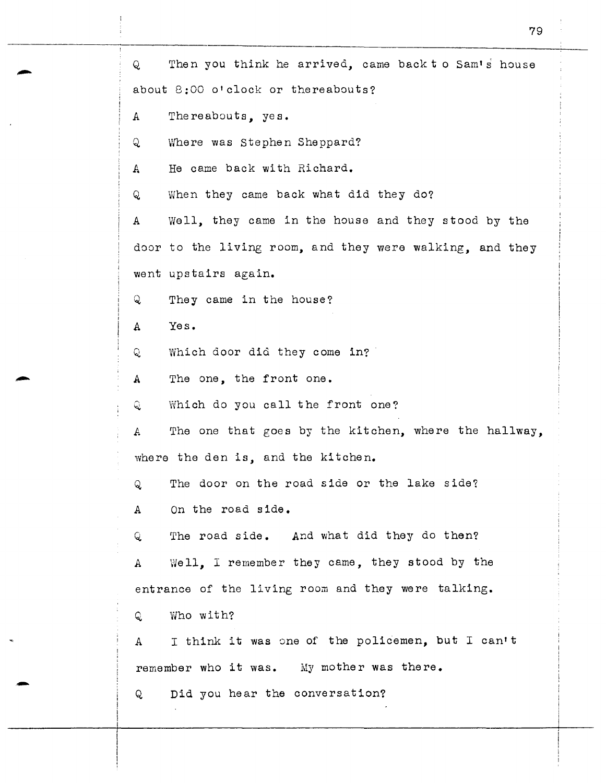Q Then you think he arrived, came back t o Sam's house about 8:00 o'clock or thereabouts? A Thereabouts, yes. Q Where was Stephen Sheppard? A He came back with Richard. Q When they came back what did they do? A Well, they came in the house and they stood by the door to the living room, and they were walking, and they went upstairs again. Q They came in the house? A Yes. Q Which door did they come in? A The one, the front one. Q Which do you call the front one? *A* The one that goes by the kitchen, where the hallway, where the den is, and the kitchen. Q The door on the road side or the lake side? A On the road side. Q. The road side. And what did they do then? A Well, I remember they came, they stood by the entrance of the living room and they were talking. Q, Who with? A I think it was one of the policemen, but I can't remember who it was. My mother was there. Q Did you hear the conversation?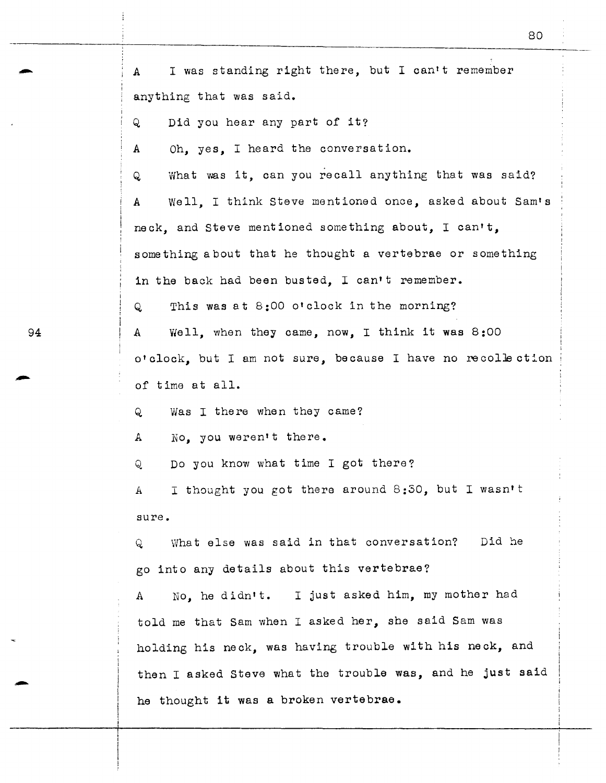A I was standing right there, but I can't remember anything that was said. Q Did you hear any part of it? A Oh, yes, I heard the conversation. Q What was it, can you recall anything that was said? A Well, I think Steve mentioned once, asked about Sam's neck, and Steve mentioned something about, I can't, something about that he thought a vertebrae or something in the back had been busted. I can't remember. Q This was at 8:00 o'clock in the morning? <sup>A</sup>Well, when they came, now, I think it was 8:00 o'clock, but I am not sure, because I have no recollection of time at all. Q Was I there when they came? A No. you weren't there. Q Do you know what time I got there? *A* I thought you got there around 8:30, but I wasn't sure. Q What else was said in that conversation? Did he go into any details about this vertebrae? A No, he didn't. I just asked him, my mother had told me that Sam when I asked her, she said Sam was holding his neck, was having trouble with his neck, and then I asked Steve what the trouble was, and he just said he thought it was a broken vertebrae.

80

94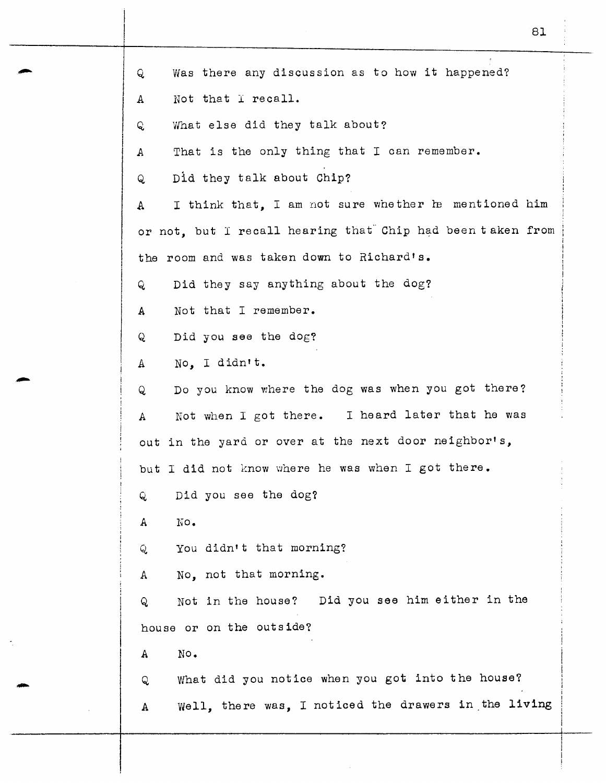| Q | Was there any discussion as to how it happened?            |
|---|------------------------------------------------------------|
| A | Not that I recall.                                         |
| Q | What else did they talk about?                             |
| А | That is the only thing that I can remember.                |
| Q | Did they talk about Chip?                                  |
| A | I think that, I am not sure whether he mentioned him       |
|   | or not, but I recall hearing that Chip had been taken from |
|   | the room and was taken down to Richard's.                  |
| Q | Did they say anything about the dog?                       |
| A | Not that I remember.                                       |
| Q | Did you see the dog?                                       |
| А | No, I didn't.                                              |
| Q | Do you know where the dog was when you got there?          |
| A | Not when I got there. I heard later that he was            |
|   | out in the yard or over at the next door neighbor's,       |
|   | but I did not know where he was when I got there.          |
| Q | Did you see the dog?                                       |
| A | No.                                                        |
| Q | You didn't that morning?                                   |
| A | No, not that morning.                                      |
| Q | Not in the house? Did you see him either in the            |
|   | house or on the outside?                                   |
| A | No.                                                        |
| Q | What did you notice when you got into the house?           |
| A | Well, there was, I noticed the drawers in the living       |
|   |                                                            |

81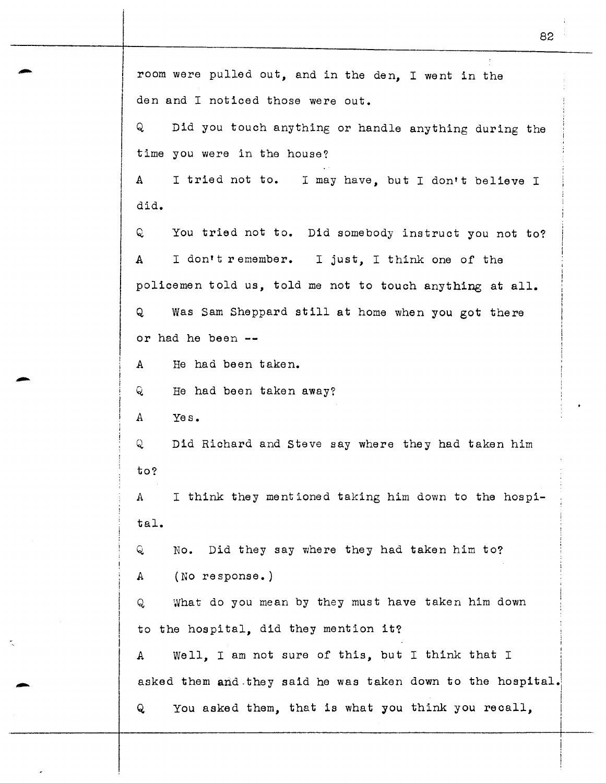room were pulled out, and in the den, I went in the den and I noticed those were out. Q Did you touch anything or handle anything during the time you were in the house? A I tried not to. I may have, but I don't believe <sup>I</sup> did. Q You tried not to. Did somebody instruct you not to? A I don't remember. I just, I think one of the policemen told us, told me not to touch anything at all. Q Was Sam Sheppard still at home when you got there or had he been -- A He had been taken. Q He had been taken away? A Yes. Q Did Richard and Steve say where they had taken him to? A I think they mentioned taking him down to the hospital. Q No. Did they say where they had taken him to? A (No response.) Q What do you mean by they must have taken him down to the hospital, did they mention it? i I l A Well, I am not sure of this, but I think that I  $\mathbf{I}$ asked them and they said he was taken down to the hospital. Q You asked them, that is what you think you recall, I I

82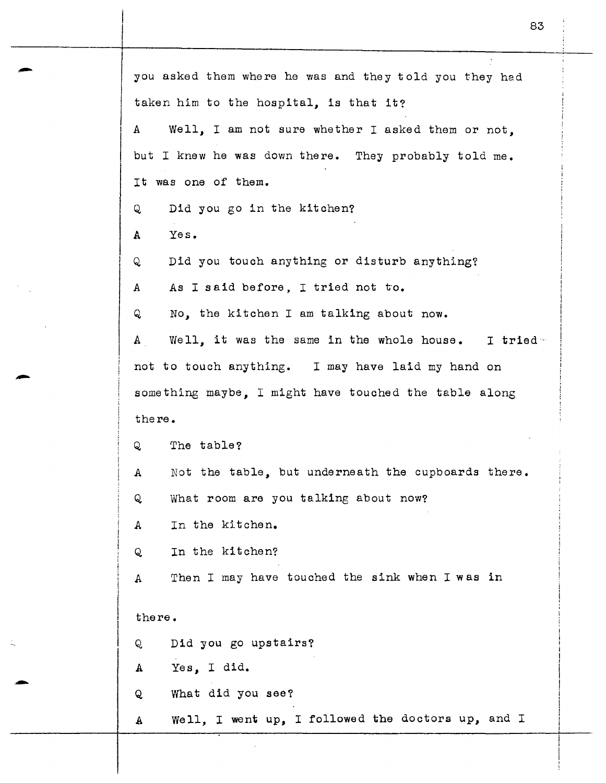| you asked them where he was and they told you they had            |  |  |  |  |  |  |  |
|-------------------------------------------------------------------|--|--|--|--|--|--|--|
| taken him to the hospital, is that it?                            |  |  |  |  |  |  |  |
| Well, I am not sure whether I asked them or not,<br>$\mathbf{A}$  |  |  |  |  |  |  |  |
| but I knew he was down there. They probably told me.              |  |  |  |  |  |  |  |
| It was one of them.                                               |  |  |  |  |  |  |  |
| Did you go in the kitchen?<br>Q                                   |  |  |  |  |  |  |  |
| Yes.<br>A                                                         |  |  |  |  |  |  |  |
| Did you touch anything or disturb anything?<br>Q                  |  |  |  |  |  |  |  |
| As I said before, I tried not to.<br>A                            |  |  |  |  |  |  |  |
| No, the kitchen I am talking about now.<br>Q                      |  |  |  |  |  |  |  |
| Well, it was the same in the whole house. I tried<br>$\mathbf{A}$ |  |  |  |  |  |  |  |
| not to touch anything. I may have laid my hand on                 |  |  |  |  |  |  |  |
| something maybe, I might have touched the table along             |  |  |  |  |  |  |  |
| there.                                                            |  |  |  |  |  |  |  |
| The table?<br>Q                                                   |  |  |  |  |  |  |  |
| Not the table, but underneath the cupboards there.<br>A           |  |  |  |  |  |  |  |
| What room are you talking about now?<br>Q                         |  |  |  |  |  |  |  |
| In the kitchen.<br>A                                              |  |  |  |  |  |  |  |
| In the kitchen?<br>Q                                              |  |  |  |  |  |  |  |
| Then I may have touched the sink when I was in<br>A               |  |  |  |  |  |  |  |
|                                                                   |  |  |  |  |  |  |  |
| there.                                                            |  |  |  |  |  |  |  |
| Did you go upstairs?<br>Q                                         |  |  |  |  |  |  |  |
| Yes, I did.<br>A                                                  |  |  |  |  |  |  |  |
| What did you see?<br>Q                                            |  |  |  |  |  |  |  |
| Well, I went up, I followed the doctors up, and I<br>A            |  |  |  |  |  |  |  |

·-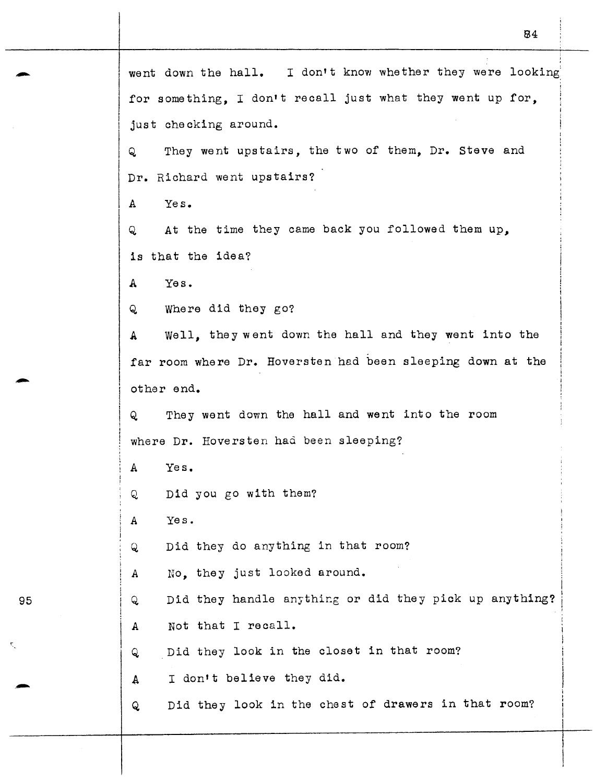went down the hall. I don't know whether they were looking for something. I don't recall just what they went up for. just checking around. Q They went upstairs, the two of them, Dr. Steve and Dr. Richard went upstairs? A Yes. Q At the time they came back you followed them up, is that the idea? A Yes. Q Where did they go? <sup>A</sup>Well, they went down the hall and they went into the far room where Dr. Hoversten had been sleeping down at the other end. Q They went down the hall and went into the room where Dr. Hoversten had been sleeping? A Yes. Q Did you go with them? *A* Yes. Q Did they do anything in that room? A No, they just looked around. Q Did they handle anything or did they pick up anything? A Not that I recall. Q Did they look in the closet in that room? A I don't believe they did. Q Did they look in the chest of drawers in that room?

B4

95

-

-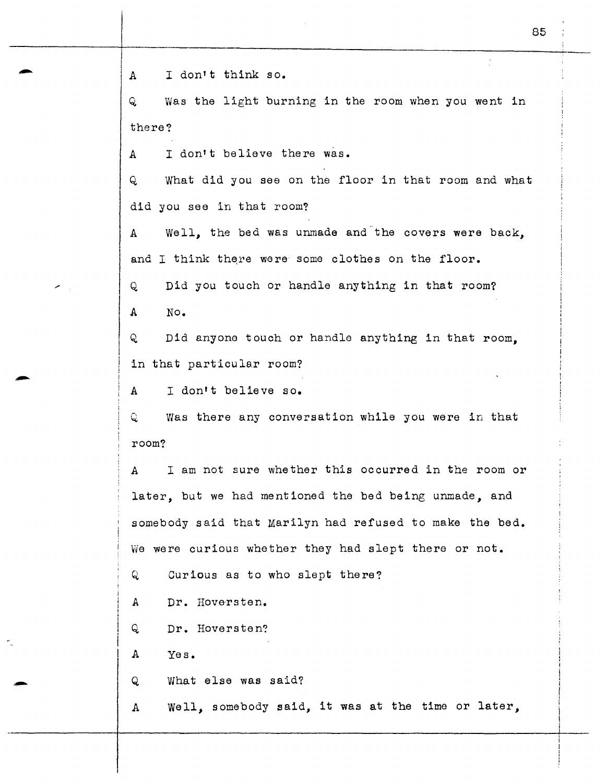A I don't think so.

Q Was the light burning in the room when you went in there?

A I don't believe there was.

Q What did you see on the floor in that room and what did you see in that room?

A Well, the bed was unmade and the covers were back, and I think there were some clothes on the floor.

Q Did you touch or handle anything in that room? A No.

Q Did anyone touch or handle anything in that room, in that particular room?

A I don•t believe so.

Q was there any conversation while you were in that room?

A I am not sure whether this occurred in the room or later, but we had mentioned the bed being unmade, and somebody said that Marilyn had refused to make the bed. We were curious whether they had slept there or not.

Q Curious as to who slept there?

A Dr. Hoversten.

Q Dr. Hoversten?

A Yes.

Q What else was said?

A Well, somebody said, it was at the time or later,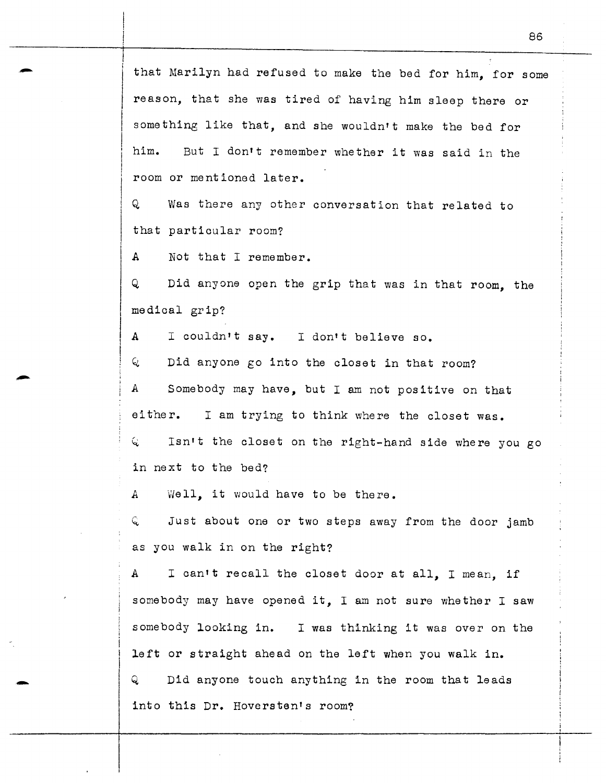that Marilyn had refused to make the bed for him, for some reason, that she was tired of having him sleep there or something like that, and she wouldn't make the bed for him. But I don't remember whether it was said in the room or mentioned later.

Q Was there any other conversation that related to that particular room?

A Not that I remember.

-

-

Q Did anyone open the grip that was in that room, the medical grip?

A I couldn't say. I don't believe so.

<sup>~</sup>Did anyone go into the closet in that room? A Somebody may have, but I am not positive on that either. I am trying to think where the closet was.  $Q$  Isn't the closet on the right-hand side where you go in next to the bed?

A Well, it would have to be there.

<sup>~</sup>Just about one or two steps away from the door jamb as you walk in on the right?

A I can't recall the closet door at all, I mean, if somebody may have opened it, I am not sure whether I saw somebody looking in. I was thinking it was over on the left or straight ahead on the left when you walk in.

Q Did anyone touch anything in the room that leads into this Dr. Hoversten's room?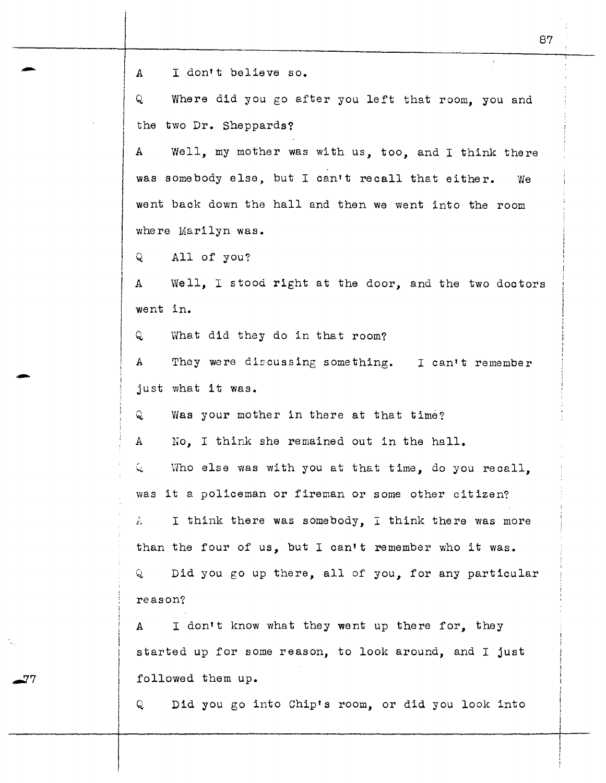e a letter the contraction of the solution of the solution of the solution of the solution of the solution of the solution of the solution of the solution of the solution of the solution of the solution of the solution of

Q Where did you go after you left that room, you and the two Dr. Sheppards?

A Well, my mother was with us, *too,* and I think there was somebody else, but I can't recall that either. We went back down the hall and then we went into the room where Marilyn was.

Q All of you?

A Well, I stood right at the door, and the two doctors went in.

 $\mathsf Q$ What did they do in that room?

A They were discussing something. I can't remember A They were di<br>just what it was.

Q. was your mother in there at that time?

A No. I think she remained out in the hall.

 $Q$  Who else was with you at that time, do you recall. was it a policeman or fireman or some other citizen?

A **I** think there was somebody, I think there was more than the four of us, but I can't remember who it was. Q Did you go up there, all of you, for any particular reason?

A I don't know what they went up there for, they started up for some reason, to look around, and I just followed them up.

Q Did you go into Chip's room, or did you look into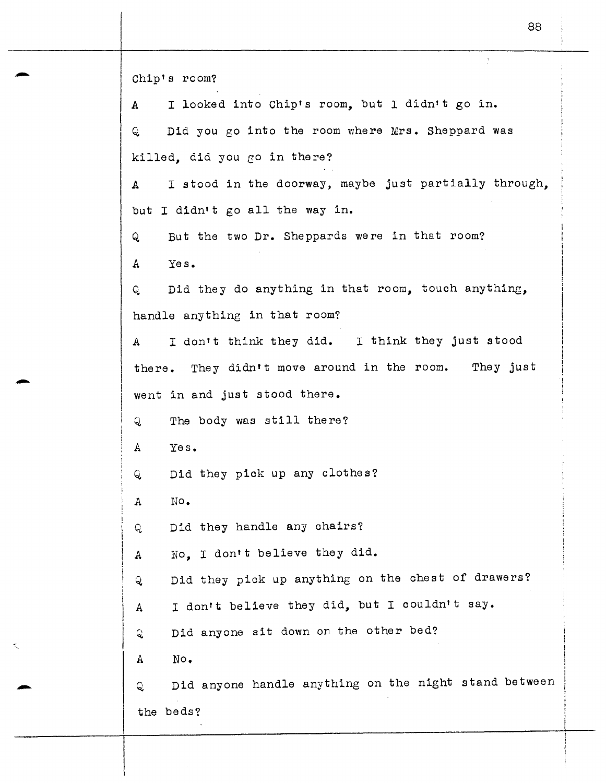Chip's room? A I looked into Chip's room, but I didn't go in. Q. Did you go into the room where Mrs. Sheppard was killed, did you go in there? A I stood in the doorway, maybe just partially through, but I didn't go all the way in. Q But the two Dr. Sheppards were in that room? A Yes. Q Did they do anything in that room, touch anything, handle anything in that room? A I don't think they did. I think they just stood there. They didn't move around in the room. They just went in and just stood there. Q The body was still there? A Yes. Q Did they pick up any clothes? A No. Q Did they handle any chairs? A *No,* I don't believe they did. Q Did they pick up anything on the chest of drawers? A I don't believe they did, but I couldn't say. Q. Did anyone sit down on the other bed? A No. Q Did anyone handle anything on the night stand between the beds?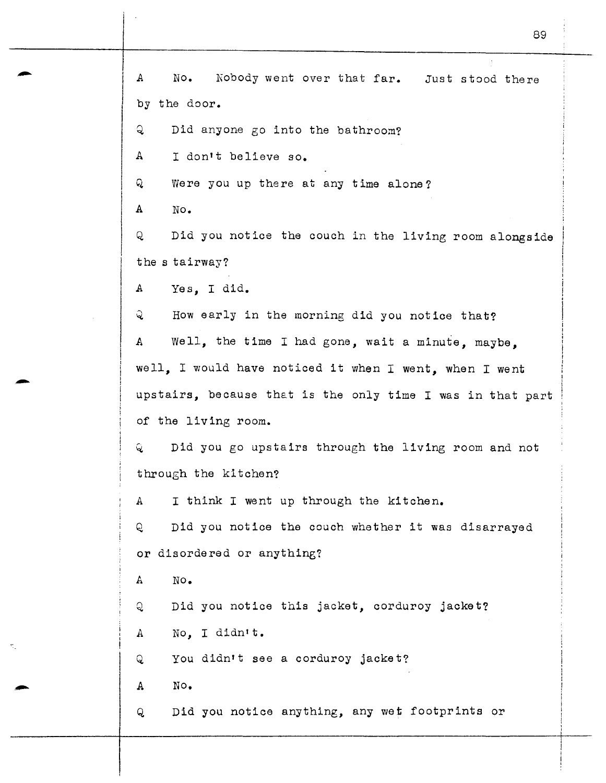A No. Nobody went over that far. Just stood there by the door. Q Did anyone go into the bathroom? A I don't believe so. Q Were you up there at any time alone? A No. Q Did you notice the couch in the living room alongside the s tairway? A Yes, I did. Q How early in the morning did you notice that? *A* Well, the time I had gone, wait a minute, maybe, well, I would have noticed it when I went, when I went upstairs, because that is the only time I was in that part of the living room. Q Did you go upstairs through the living room and not through the kitchen? *A* I think I went up through the kitchen. Q. Did you notice the couch whether it was disarrayed or disordered or anything? A No. Q Did you notice this jacket, corduroy jacket? A No. I didn't. Q You didn't see a corduroy jacket? A No. Q Did you notice anything, any wet footprints or

89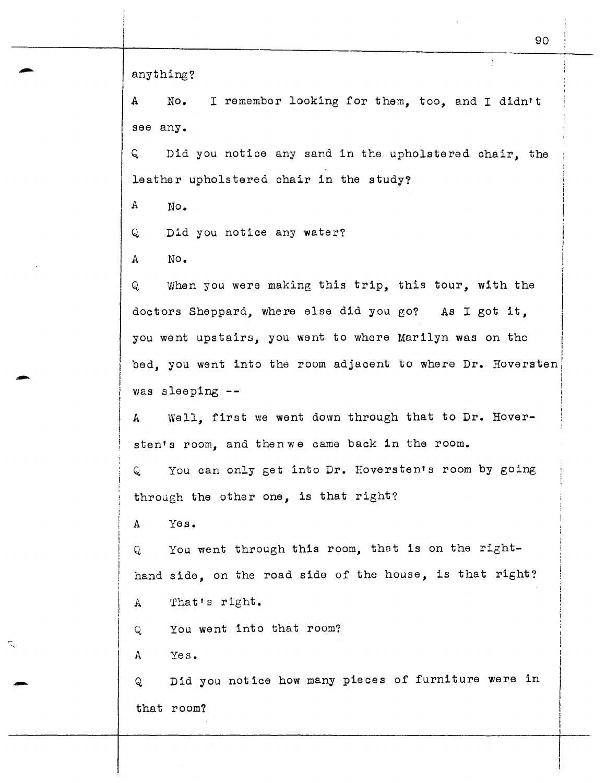anything?

A No. I remember looking for them, *too,* and I didn't see any.

Q Did you notice any sand in the upholstered chair, the leather upholstered chair 1n the study?

A No.

Q Did you notice any water?

A No.

-

-

Q When you were making this trip, this tour, with the doctors Sheppard, where else did you go? As I got it, you went upstairs, you went to where Marilyn was on the bed, you went into the room adjacent to where Dr. Hoversten was sleeping --

A Well, first we went down through that to Dr. Hoversten's room, and then we came back in the room.

Q You can only get into Dr. Hoversten's room by going through the other one, is that right?

A Yes.

Q You went through this room, that is on the righthand side, on the road side of the house, is that right?

A That's right.

Q You went into that room?

A Yes.

Q Did you notice how many pieces of furniture were in that room?

 $\mathfrak{f}$  . I I I

 $\mathbf{I}$  $\vert$  $\vert$ ! I

i ! I I i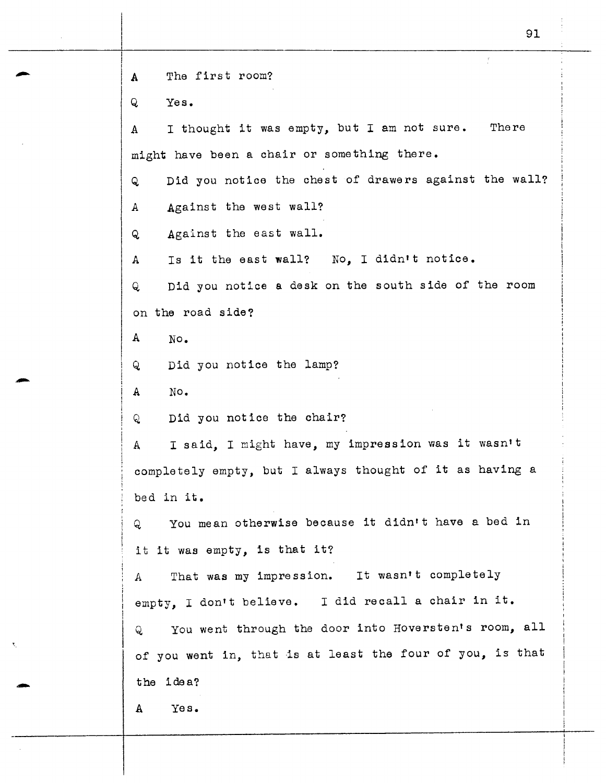**<sup>A</sup>**The first room? Q Yes. A I thought it was empty, but I am not sure. There might have been a chair or something there. Q Did you notice the chest of drawers against the wall? A Against the west wall? Q Against the east wall. A Is it the east **wall?** No, I didn•t notice. Q Did you notice a desk on the south side of the room on the road side? A No. Q Did you notice the lamp? A No. Q Did you notice the chair? A I said, I might have, my impression was it wasn•t completely empty, but I always thought of it as having a bed in it. Q You mean otherwise because it didn•t have a bed in it it was empty, is that it? A That was my impression. It wasn't completely empty, I don't believe. I did recall a chair in it. Q You went through the door into Hoversten•s room, all of you went in, that is at least the four of you, is that the idea? A Yes.

-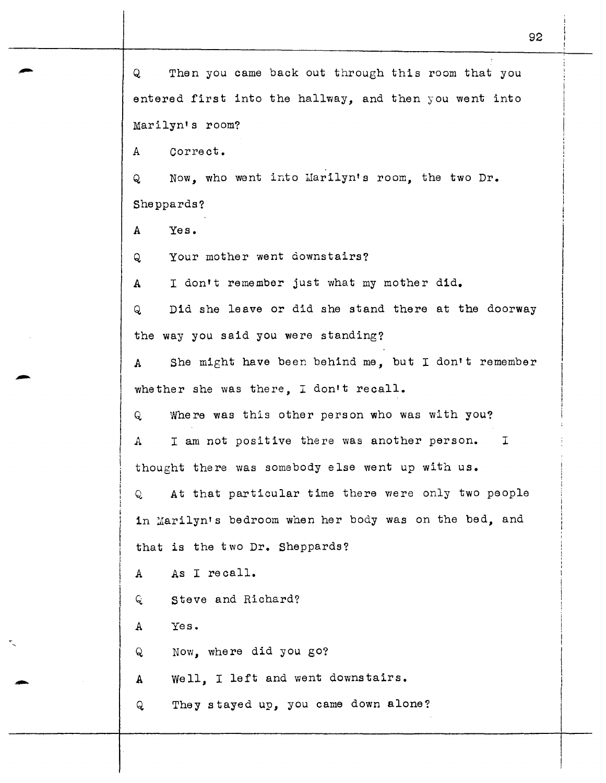Q Then you came back out through this room that you entered first into the hallway, and then you went into Marilyn's room? A correct. Q Now, who went into Marilyn's room, the two Dr. Sheppards? A Yes. Q Your mother went downstairs? A I don't remember just what my mother did. Q Did she leave or did she stand there at the doorway the way you said you were standing? A She might have been behind me, but I don't remember whether she was there. I don't recall. Q Where was this other person who was with you? A I am not positive there was another person. <sup>I</sup> thought there was somebody else went up with us. Q At that particular time there were only two people in Marilyn's bedroom when her body was on the bed, and that is the two Dr. Sheppards? A As I recall. Q Steve and Richard? A Q A  $\mathsf{Q}$ Yes. Now, where did you go? Well, I left and went downstairs. They stayed up, you came down alone?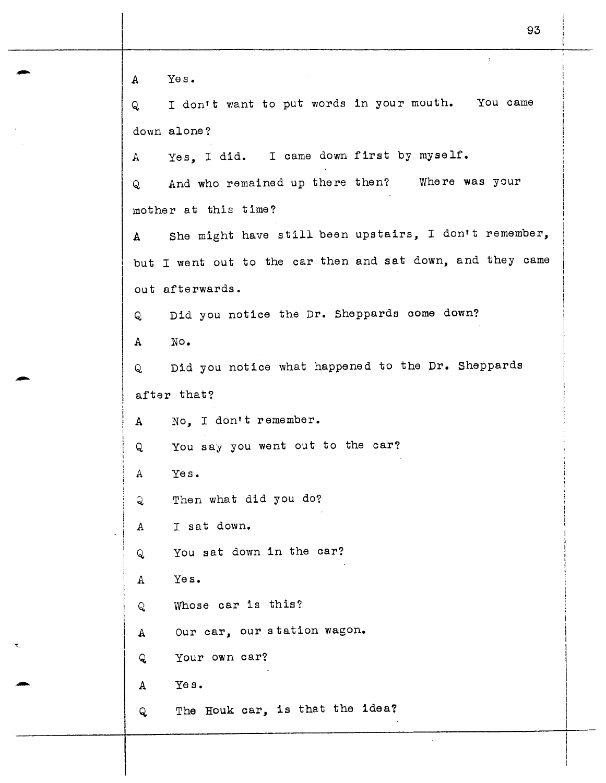$\tilde{\tau}$ A Yes. Q I don't want to put words in your mouth. You came down alone? Yes. I did. I came down first by myself. A And who remained up there then? Where was your Q. mother at this time? A She might have still been upstairs, I don't remember, but I went out to the car then and sat down, and they came out afterwards. Q Did you notice the Dr. Sheppards come down? A No. Q Did you notice what happened to the Dr. Sheppards after that? A No, I don't remember. Q You say you went out to the car? *A* Yes. Q. Then what did you do? <sup>A</sup>I sat down. Q You sat down in the car? A Yes. Q. Whose car is this? A Our car, our station wagon. Q Your own car? A Yes. Q The Houk car, is that the idea?

-

-

-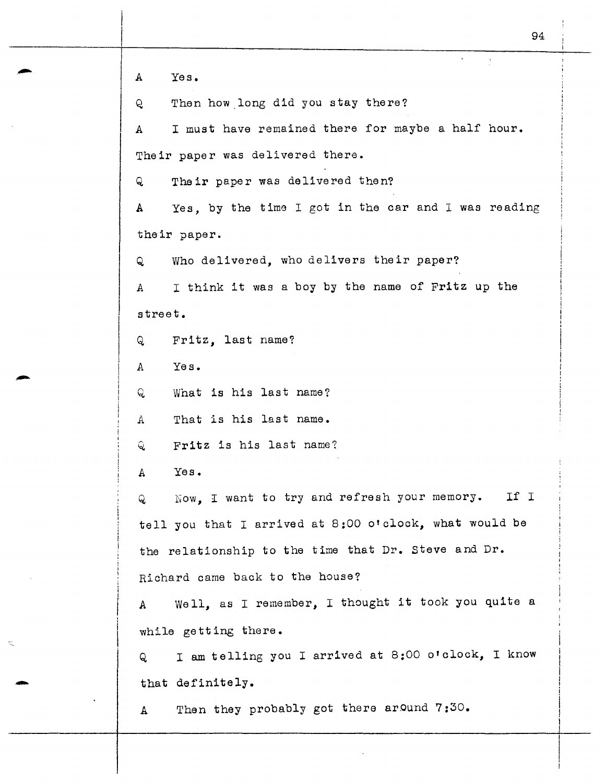94 A Yes. Q Then how\_long did you stay there? A I must have remained there for maybe a half hour. Their paper was delivered there. Q Their paper was delivered then? A Yes, by the time I got in the car and I was reading their paper. Q Who delivered, who delivers their paper? A I think it was a boy by the name of Fritz up the street. <sup>Q</sup>Fritz, last name? A Yes. Q What is his last name? A That is his last name. Q Fritz is his last name? A Yes.  $Q$  Now, I want to try and refresh your memory. tell you that I arrived at 8:00 o'clock, what would be the relationship to the time that Dr. Steve and Dr. Richard came back to the house? If I A Well, as I remember, I thought it took you quite a while getting there. Q I am telling you I arrived at 8:00 o'clock, I know that definitely. A Then they probably got there around 7:30.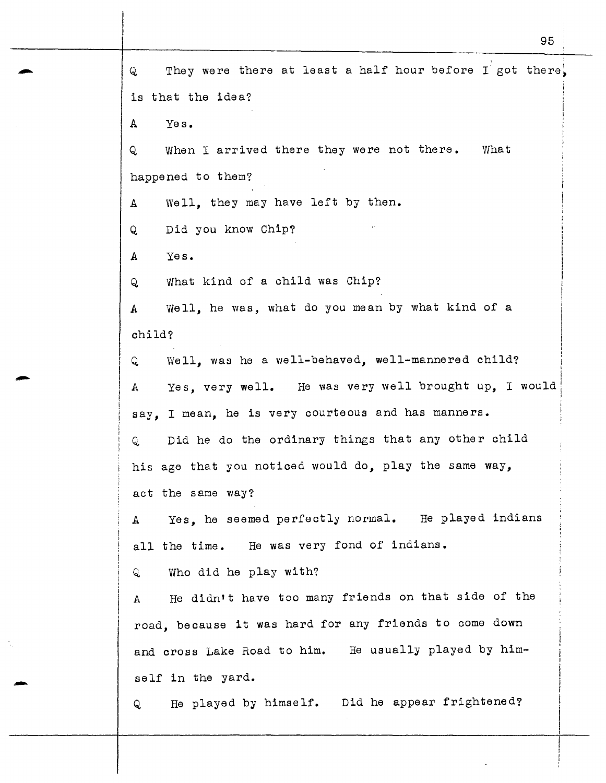Q They were there at least a half hour before I got there. is that the idea? A Yes. Q When I arrived there they were not there. happened to them? A Well, they may have left by then. Q Did you know Chip? A Yes. Q What kind of a child was Chip? What A Well, he was, what do you mean by what kind of a child? Q Well, was he a well-behaved, well-mannered child? <sup>A</sup>Yes, very well. He was very well brought up, I would say, I mean, he is very courteous and has manners. Q Did he do the ordinary things that any other child his age that you noticed would do, play the same way, act the same way? <sup>A</sup>Yes, he seemed perfectly normal. He played indians all the time. He was very fond of indians.  $Q$  Who did he play with? A He didn't have too many friends on that side of the road, because it was hard for any friends to come down and cross Lake Road to him. He usually played by himself in the yard. Q He played by himself. Did he appear frightened?

95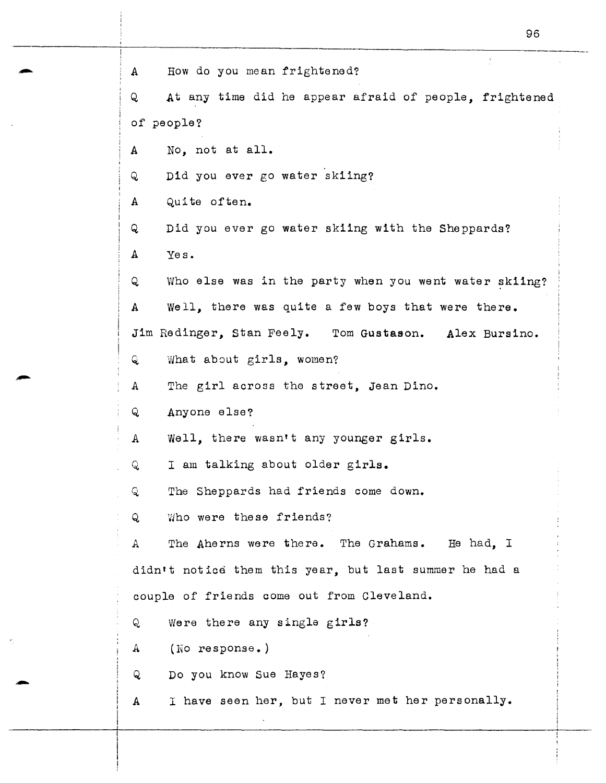| How do you mean frightened?<br>$\mathbf{A}$                       |
|-------------------------------------------------------------------|
| At any time did he appear afraid of people, frightened<br>Q       |
| of people?                                                        |
| No, not at all.<br>A                                              |
| Did you ever go water skiing?<br>Q                                |
| Quite often.<br>$\mathbf{A}$                                      |
| Did you ever go water skiing with the Sheppards?<br>Q             |
| $\mathbf{A}$<br>Yes.                                              |
| Who else was in the party when you went water skiing?<br>Q        |
| Well, there was quite a few boys that were there.<br>$\mathbf{A}$ |
| Jim Redinger, Stan Feely. Tom Gustason. Alex Bursino.             |
| Q<br>What about girls, women?                                     |
| The girl across the street, Jean Dino.<br>$\mathbf{A}$            |
| Anyone else?<br>Q                                                 |
| Well, there wasn't any younger girls.<br>$\mathbf{A}$             |
| I am talking about older girls.<br>Q                              |
| The Sheppards had friends come down.<br>Q                         |
| Who were these friends?<br>Q                                      |
| The Aherns were there. The Grahams.<br>He had. I<br>A             |
| didn't notice them this year, but last summer he had a            |
| couple of friends come out from Cleveland.                        |
| Were there any single girls?<br>Q                                 |
| (No response.)<br>$\mathbf{A}$                                    |
| Do you know Sue Hayes?<br>Q                                       |
| I have seen her, but I never met her personally.<br>A             |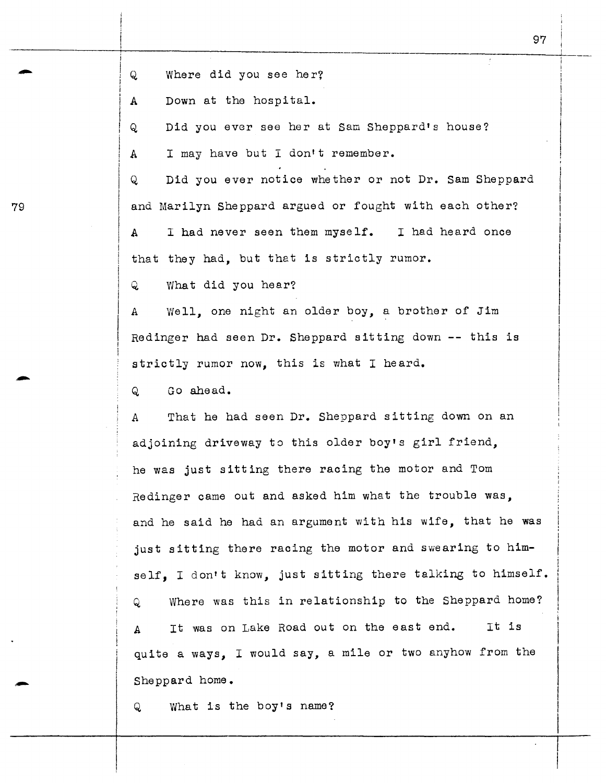Q Where did you see her?<br>A Down at the hospital.

Down at the hospital.

Q Did you ever see her at Sam Sheppard's house?

A I may have but I don't remember.

Q Did you ever notice whether or not Dr. Sam Sheppard 79 and Marilyn Sheppard argued or fought with each other? A I had never seen them myself. I had heard once that they had, but that is strictly rumor.

Q What did you hear?

<sup>A</sup>Well, one night an older boy, a brother of Jim Redinger had seen Dr. Sheppard sitting down -- this is strictly rumor now, this is what I heard.

Q Go ahead.

*A* That he had seen Dr. Sheppard sitting down on an adjoining driveway to this older boy's girl friend, he was just sitting there racing the motor and Tom Redinger came out and asked him what the trouble was, and he said he had an argument with his wife, that he was just sitting there racing the motor and swearing to himself. I don't know, just sitting there talking to himself. Q Where was this in relationship to the Sheppard home? It was on Lake Road out on the east end. It is Α quite a ways, I would say, a mile or two anyhow from the Sheppard home.

Q What is the boy's name?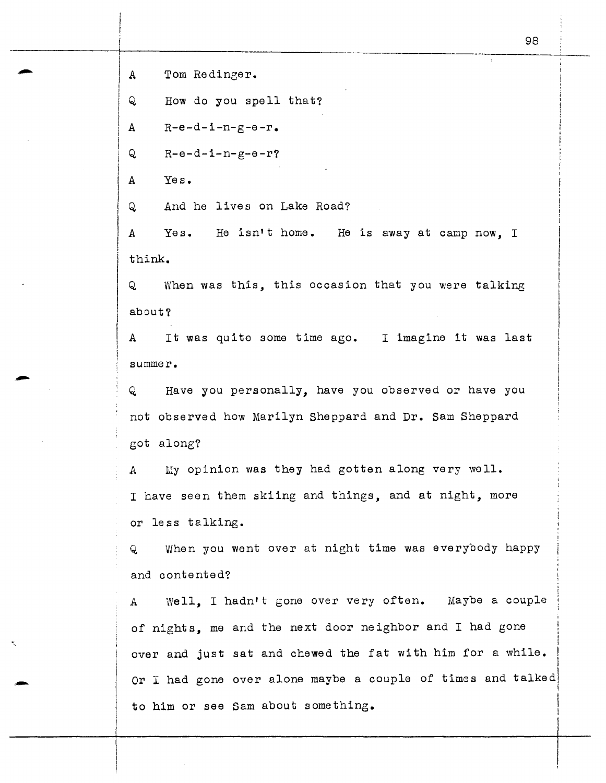A Tom Redinger.

Q How do you spell that?

 $A$   $R-e-d-i-n-g-e-r$ .

 $Q = R - e - d - i - n - g - e - r$ ?

A Yes.

Q And he lives on Lake Road?

<sup>A</sup>Yes. He isn't home. He is away at camp now, I think.

Q When was this, this occasion that you were talking about?

A It was quite some time ago. I imagine it was last summer.

Q Have you personally, have you observed or have you not observed how Marilyn Sheppard and Dr. Sam Sheppard got along?

A My opinion was they had gotten along very well. I have seen them skiing and things, and at night, more or less talking.

Q When you went over at night time was everybody happy and contented?

A Well, I hadn't gone over very often. Maybe a couple of nights, me and the next door neighbor and I had gone over and just sat and chewed the fat with him for a while. I Or I had gone over alone maybe a couple of times and talked I I to him or see Sam about something.

 $\left\vert$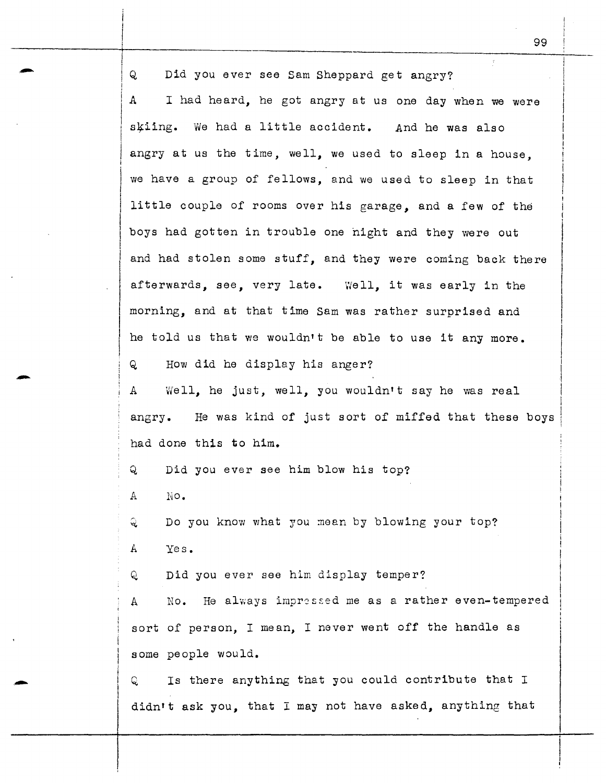Q Did you ever see Sam Sheppard get angry? A I had heard, he got angry at us one day when we were skiing. We had a little accident. And he was also angry at us the time, well, we used to sleep in a house, we have a group of fellows, and we used to sleep in that little couple of rooms over his garage, and a few of the boys had gotten in trouble one hight and they were out and had stolen some stuff, and they were coming back there afterwards, see, very late. Well, it was early in the morning, and at that time Sam was rather surprised and he told us that we wouldn't be able to use it any more. Q How did he display his anger? A Well, he just, well, you wouldn't say he was real angry. He was kind of just sort of miffed that these boys had done this to him. Q Did you ever see him blow his top? A No. Q bo you know what you mean by blowing your top? A Yes. Q Did you ever see him display temper? A No. He always impressed me as a rather even-tempered sort of person, I mean, I never went off the handle as some people would. Q Is there anything that you could contribute that I didn't ask you, that I may not have asked, anything that

99

-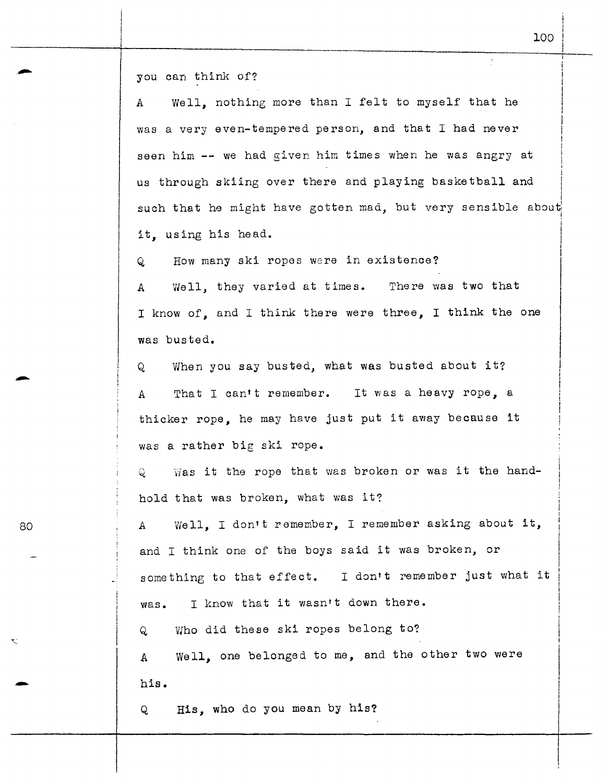you can think of?

A Well, nothing more than I felt to myself that he was a very even-tempered person, and that I had never seen him -- we had given him times when he was angry at i us through skiing over there and playing basketball and I such that he might have gotten mad, but very sensible about ! it, using his head.

Q How many ski ropes were in existence?

<sup>A</sup>Well, they varied at times. There was two that I know of, and I think there were three, I think the one was busted.

Q When you say busted, what was busted about it? That I can't remember. It was a heavy rope, a  $\mathsf{A}$ thicker rope, he may have just put it away because it was a rather big ski rope.

Q Was it the rope that was broken or was it the handhold that was broken, what was it?

80 A Well, I don't remember, I remember asking about it, and I think one of the boys said it was broken, or something to that effect. I don't remember just what it was. I know that it wasn't down there.

Q Who did these ski ropes belong to?

A Well, one belonged to me, and the other two were A<br>his.

Q His, who do you mean by his?